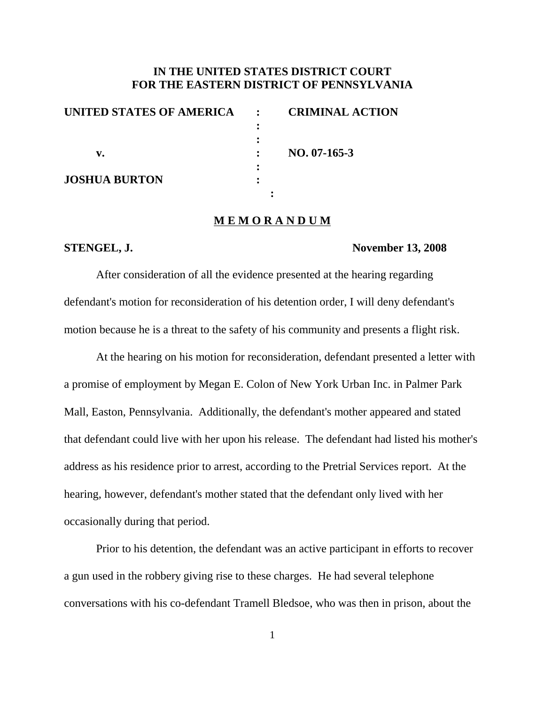## **IN THE UNITED STATES DISTRICT COURT FOR THE EASTERN DISTRICT OF PENNSYLVANIA**

| UNITED STATES OF AMERICA | $\mathbf{r}$ | <b>CRIMINAL ACTION</b> |
|--------------------------|--------------|------------------------|
|                          |              |                        |
|                          |              |                        |
| v.                       |              | $NO. 07-165-3$         |
|                          |              |                        |
| <b>JOSHUA BURTON</b>     |              |                        |
|                          |              |                        |

## **M E M O R A N D U M**

### **STENGEL, J. November 13, 2008**

After consideration of all the evidence presented at the hearing regarding defendant's motion for reconsideration of his detention order, I will deny defendant's motion because he is a threat to the safety of his community and presents a flight risk.

At the hearing on his motion for reconsideration, defendant presented a letter with a promise of employment by Megan E. Colon of New York Urban Inc. in Palmer Park Mall, Easton, Pennsylvania. Additionally, the defendant's mother appeared and stated that defendant could live with her upon his release. The defendant had listed his mother's address as his residence prior to arrest, according to the Pretrial Services report. At the hearing, however, defendant's mother stated that the defendant only lived with her occasionally during that period.

Prior to his detention, the defendant was an active participant in efforts to recover a gun used in the robbery giving rise to these charges. He had several telephone conversations with his co-defendant Tramell Bledsoe, who was then in prison, about the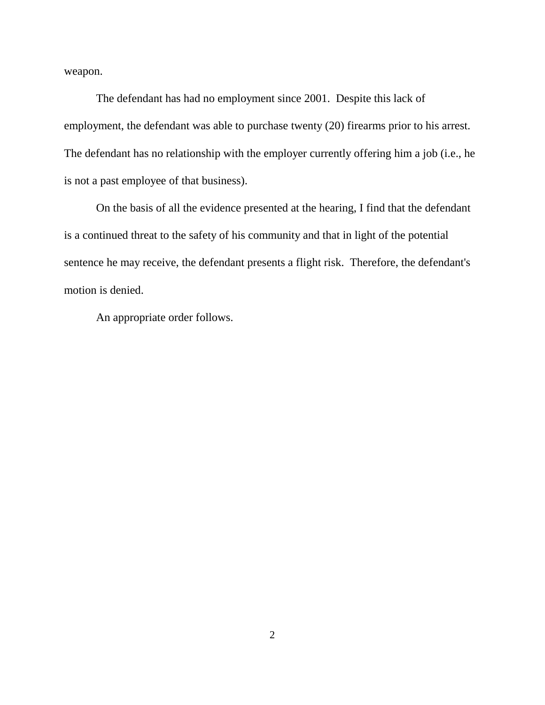weapon.

The defendant has had no employment since 2001. Despite this lack of employment, the defendant was able to purchase twenty (20) firearms prior to his arrest. The defendant has no relationship with the employer currently offering him a job (i.e., he is not a past employee of that business).

On the basis of all the evidence presented at the hearing, I find that the defendant is a continued threat to the safety of his community and that in light of the potential sentence he may receive, the defendant presents a flight risk. Therefore, the defendant's motion is denied.

An appropriate order follows.